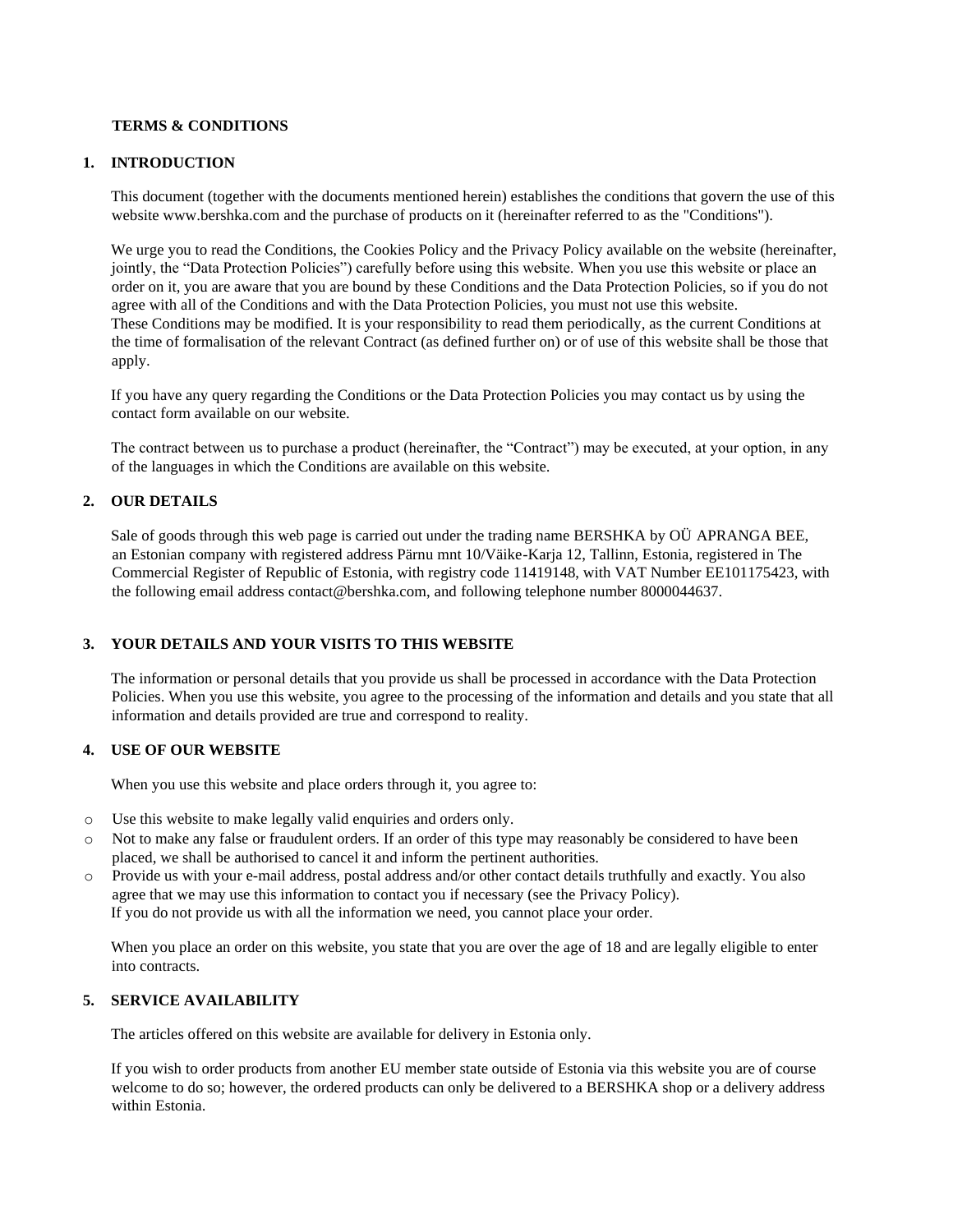## **TERMS & CONDITIONS**

## **1. INTRODUCTION**

This document (together with the documents mentioned herein) establishes the conditions that govern the use of this website www.bershka.com and the purchase of products on it (hereinafter referred to as the "Conditions").

We urge you to read the Conditions, the Cookies Policy and the Privacy Policy available on the website (hereinafter, jointly, the "Data Protection Policies") carefully before using this website. When you use this website or place an order on it, you are aware that you are bound by these Conditions and the Data Protection Policies, so if you do not agree with all of the Conditions and with the Data Protection Policies, you must not use this website. These Conditions may be modified. It is your responsibility to read them periodically, as the current Conditions at the time of formalisation of the relevant Contract (as defined further on) or of use of this website shall be those that apply.

If you have any query regarding the Conditions or the Data Protection Policies you may contact us by using the contact form available on our website.

The contract between us to purchase a product (hereinafter, the "Contract") may be executed, at your option, in any of the languages in which the Conditions are available on this website.

## **2. OUR DETAILS**

Sale of goods through this web page is carried out under the trading name BERSHKA by OÜ APRANGA BEE, an Estonian company with registered address Pärnu mnt 10/Väike-Karja 12, Tallinn, Estonia, registered in The Commercial Register of Republic of Estonia, with registry code 11419148, with VAT Number EE101175423, with the following email address contact@bershka.com, and following telephone number 8000044637.

### **3. YOUR DETAILS AND YOUR VISITS TO THIS WEBSITE**

The information or personal details that you provide us shall be processed in accordance with the Data Protection Policies. When you use this website, you agree to the processing of the information and details and you state that all information and details provided are true and correspond to reality.

### **4. USE OF OUR WEBSITE**

When you use this website and place orders through it, you agree to:

- o Use this website to make legally valid enquiries and orders only.
- o Not to make any false or fraudulent orders. If an order of this type may reasonably be considered to have been placed, we shall be authorised to cancel it and inform the pertinent authorities.
- o Provide us with your e-mail address, postal address and/or other contact details truthfully and exactly. You also agree that we may use this information to contact you if necessary (see the Privacy Policy). If you do not provide us with all the information we need, you cannot place your order.

When you place an order on this website, you state that you are over the age of 18 and are legally eligible to enter into contracts.

# **5. SERVICE AVAILABILITY**

The articles offered on this website are available for delivery in Estonia only.

If you wish to order products from another EU member state outside of Estonia via this website you are of course welcome to do so; however, the ordered products can only be delivered to a BERSHKA shop or a delivery address within Estonia.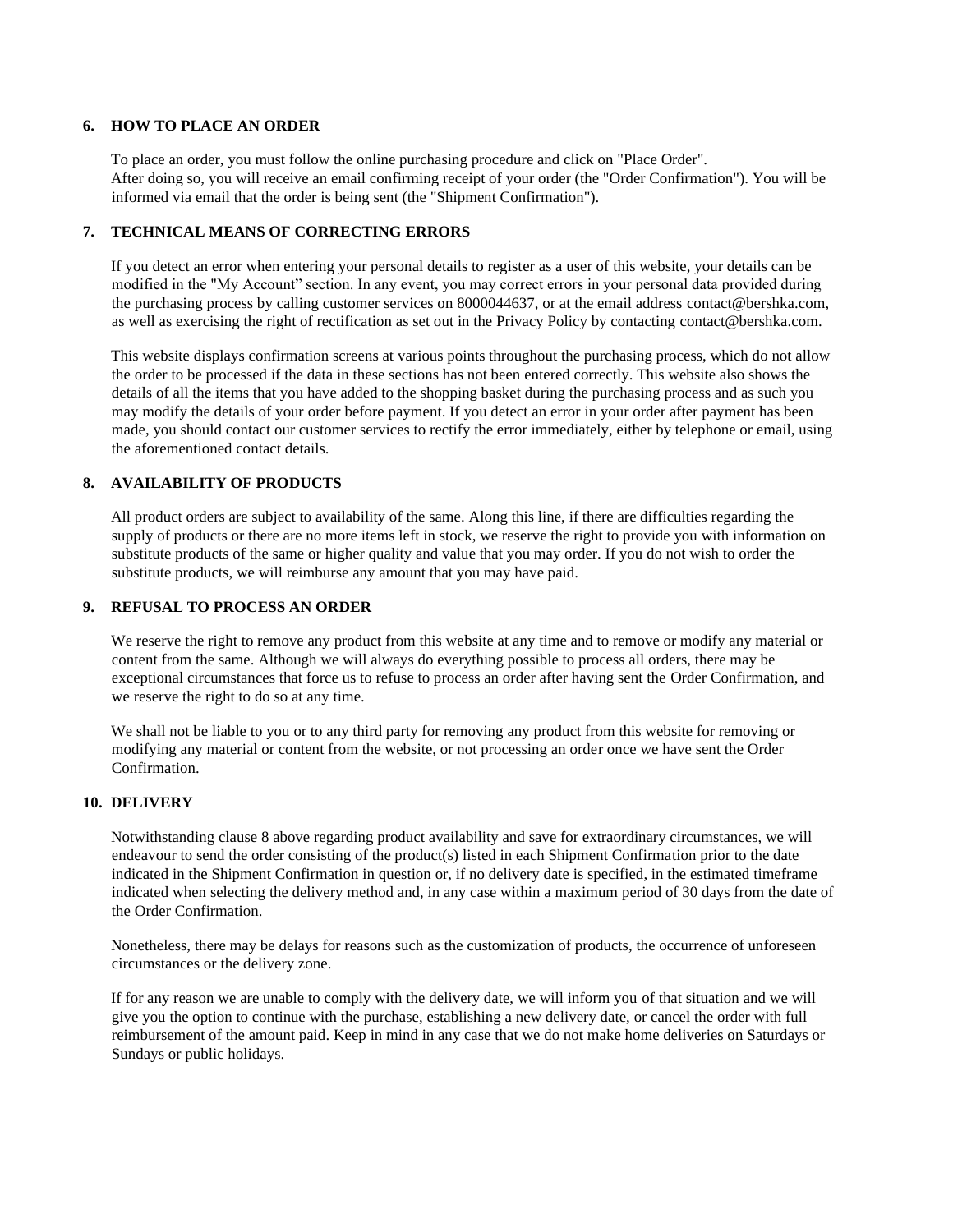## **6. HOW TO PLACE AN ORDER**

To place an order, you must follow the online purchasing procedure and click on "Place Order". After doing so, you will receive an email confirming receipt of your order (the "Order Confirmation"). You will be informed via email that the order is being sent (the "Shipment Confirmation").

# **7. TECHNICAL MEANS OF CORRECTING ERRORS**

If you detect an error when entering your personal details to register as a user of this website, your details can be modified in the "My Account" section. In any event, you may correct errors in your personal data provided during the purchasing process by calling customer services on 8000044637, or at the email address contact@bershka.com, as well as exercising the right of rectification as set out in the Privacy Policy by contacting contact@bershka.com.

This website displays confirmation screens at various points throughout the purchasing process, which do not allow the order to be processed if the data in these sections has not been entered correctly. This website also shows the details of all the items that you have added to the shopping basket during the purchasing process and as such you may modify the details of your order before payment. If you detect an error in your order after payment has been made, you should contact our customer services to rectify the error immediately, either by telephone or email, using the aforementioned contact details.

## **8. AVAILABILITY OF PRODUCTS**

All product orders are subject to availability of the same. Along this line, if there are difficulties regarding the supply of products or there are no more items left in stock, we reserve the right to provide you with information on substitute products of the same or higher quality and value that you may order. If you do not wish to order the substitute products, we will reimburse any amount that you may have paid.

### **9. REFUSAL TO PROCESS AN ORDER**

We reserve the right to remove any product from this website at any time and to remove or modify any material or content from the same. Although we will always do everything possible to process all orders, there may be exceptional circumstances that force us to refuse to process an order after having sent the Order Confirmation, and we reserve the right to do so at any time.

We shall not be liable to you or to any third party for removing any product from this website for removing or modifying any material or content from the website, or not processing an order once we have sent the Order Confirmation.

### **10. DELIVERY**

Notwithstanding clause 8 above regarding product availability and save for extraordinary circumstances, we will endeavour to send the order consisting of the product(s) listed in each Shipment Confirmation prior to the date indicated in the Shipment Confirmation in question or, if no delivery date is specified, in the estimated timeframe indicated when selecting the delivery method and, in any case within a maximum period of 30 days from the date of the Order Confirmation.

Nonetheless, there may be delays for reasons such as the customization of products, the occurrence of unforeseen circumstances or the delivery zone.

If for any reason we are unable to comply with the delivery date, we will inform you of that situation and we will give you the option to continue with the purchase, establishing a new delivery date, or cancel the order with full reimbursement of the amount paid. Keep in mind in any case that we do not make home deliveries on Saturdays or Sundays or public holidays.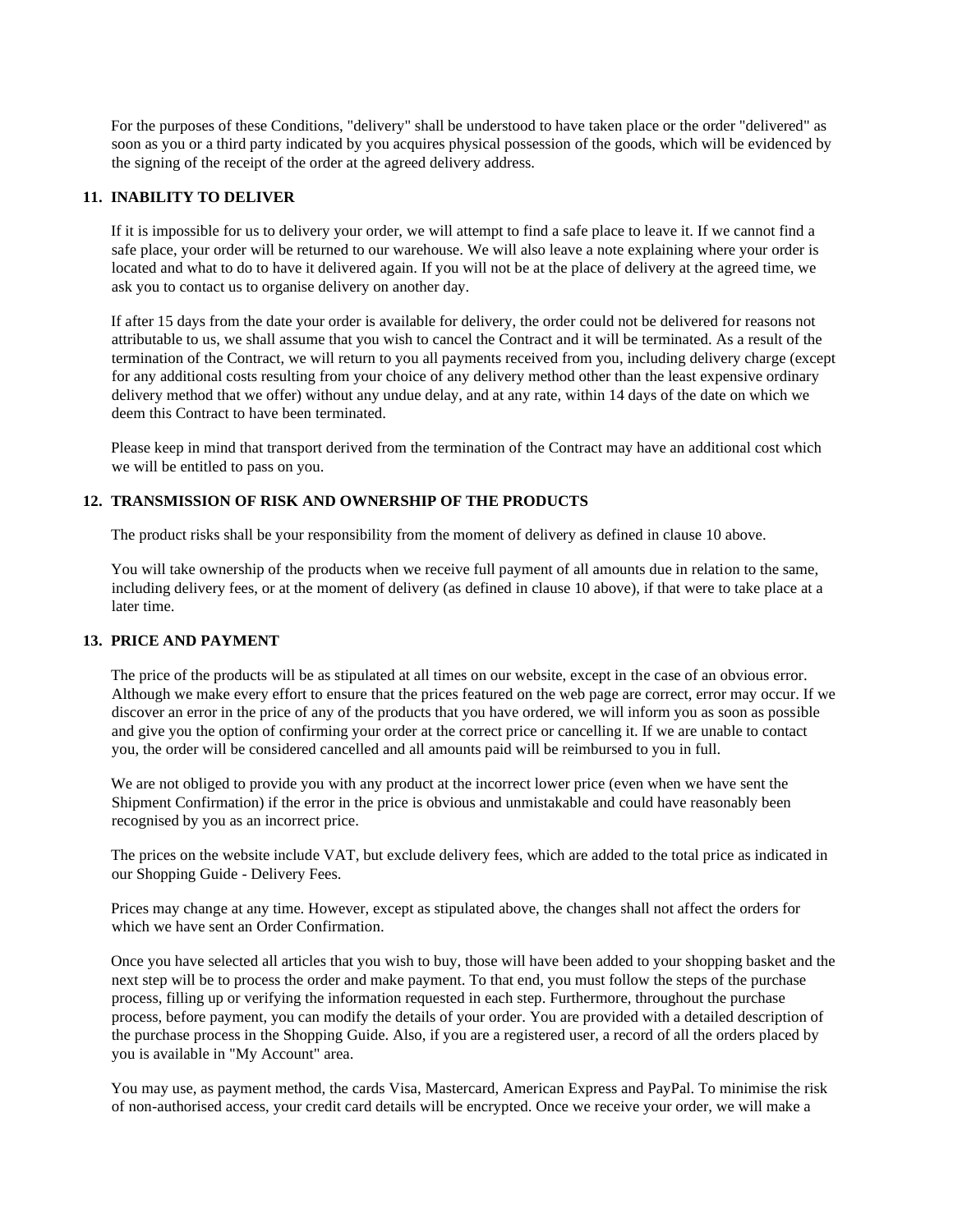For the purposes of these Conditions, "delivery" shall be understood to have taken place or the order "delivered" as soon as you or a third party indicated by you acquires physical possession of the goods, which will be evidenced by the signing of the receipt of the order at the agreed delivery address.

# **11. INABILITY TO DELIVER**

If it is impossible for us to delivery your order, we will attempt to find a safe place to leave it. If we cannot find a safe place, your order will be returned to our warehouse. We will also leave a note explaining where your order is located and what to do to have it delivered again. If you will not be at the place of delivery at the agreed time, we ask you to contact us to organise delivery on another day.

If after 15 days from the date your order is available for delivery, the order could not be delivered for reasons not attributable to us, we shall assume that you wish to cancel the Contract and it will be terminated. As a result of the termination of the Contract, we will return to you all payments received from you, including delivery charge (except for any additional costs resulting from your choice of any delivery method other than the least expensive ordinary delivery method that we offer) without any undue delay, and at any rate, within 14 days of the date on which we deem this Contract to have been terminated.

Please keep in mind that transport derived from the termination of the Contract may have an additional cost which we will be entitled to pass on you.

## **12. TRANSMISSION OF RISK AND OWNERSHIP OF THE PRODUCTS**

The product risks shall be your responsibility from the moment of delivery as defined in clause 10 above.

You will take ownership of the products when we receive full payment of all amounts due in relation to the same, including delivery fees, or at the moment of delivery (as defined in clause 10 above), if that were to take place at a later time.

# **13. PRICE AND PAYMENT**

The price of the products will be as stipulated at all times on our website, except in the case of an obvious error. Although we make every effort to ensure that the prices featured on the web page are correct, error may occur. If we discover an error in the price of any of the products that you have ordered, we will inform you as soon as possible and give you the option of confirming your order at the correct price or cancelling it. If we are unable to contact you, the order will be considered cancelled and all amounts paid will be reimbursed to you in full.

We are not obliged to provide you with any product at the incorrect lower price (even when we have sent the Shipment Confirmation) if the error in the price is obvious and unmistakable and could have reasonably been recognised by you as an incorrect price.

The prices on the website include VAT, but exclude delivery fees, which are added to the total price as indicated in our Shopping Guide - Delivery Fees.

Prices may change at any time. However, except as stipulated above, the changes shall not affect the orders for which we have sent an Order Confirmation.

Once you have selected all articles that you wish to buy, those will have been added to your shopping basket and the next step will be to process the order and make payment. To that end, you must follow the steps of the purchase process, filling up or verifying the information requested in each step. Furthermore, throughout the purchase process, before payment, you can modify the details of your order. You are provided with a detailed description of the purchase process in the Shopping Guide. Also, if you are a registered user, a record of all the orders placed by you is available in "My Account" area.

You may use, as payment method, the cards Visa, Mastercard, American Express and PayPal. To minimise the risk of non-authorised access, your credit card details will be encrypted. Once we receive your order, we will make a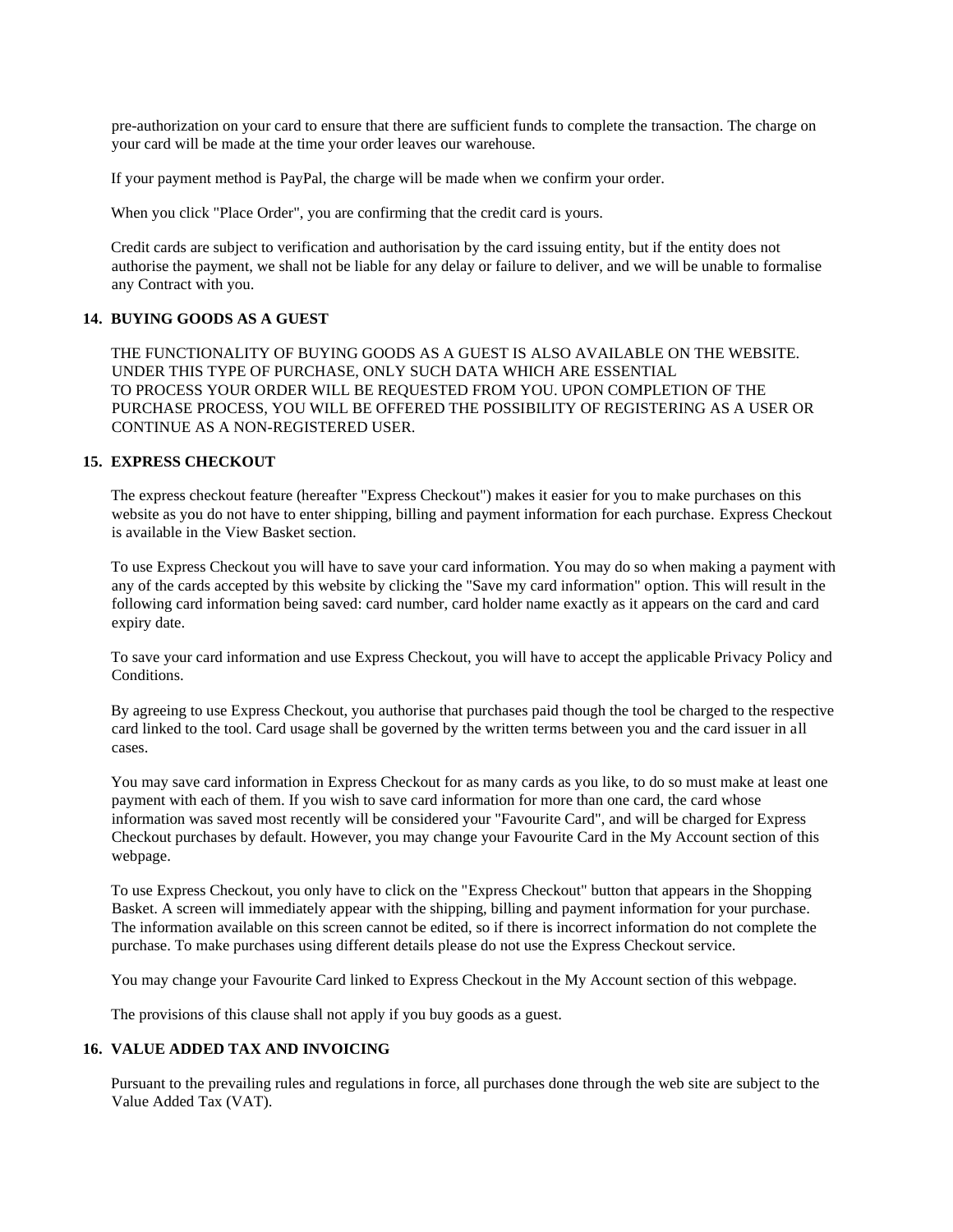pre-authorization on your card to ensure that there are sufficient funds to complete the transaction. The charge on your card will be made at the time your order leaves our warehouse.

If your payment method is PayPal, the charge will be made when we confirm your order.

When you click "Place Order", you are confirming that the credit card is yours.

Credit cards are subject to verification and authorisation by the card issuing entity, but if the entity does not authorise the payment, we shall not be liable for any delay or failure to deliver, and we will be unable to formalise any Contract with you.

## **14. BUYING GOODS AS A GUEST**

THE FUNCTIONALITY OF BUYING GOODS AS A GUEST IS ALSO AVAILABLE ON THE WEBSITE. UNDER THIS TYPE OF PURCHASE, ONLY SUCH DATA WHICH ARE ESSENTIAL TO PROCESS YOUR ORDER WILL BE REQUESTED FROM YOU. UPON COMPLETION OF THE PURCHASE PROCESS, YOU WILL BE OFFERED THE POSSIBILITY OF REGISTERING AS A USER OR CONTINUE AS A NON-REGISTERED USER.

## **15. EXPRESS CHECKOUT**

The express checkout feature (hereafter "Express Checkout") makes it easier for you to make purchases on this website as you do not have to enter shipping, billing and payment information for each purchase. Express Checkout is available in the View Basket section.

To use Express Checkout you will have to save your card information. You may do so when making a payment with any of the cards accepted by this website by clicking the "Save my card information" option. This will result in the following card information being saved: card number, card holder name exactly as it appears on the card and card expiry date.

To save your card information and use Express Checkout, you will have to accept the applicable Privacy Policy and Conditions.

By agreeing to use Express Checkout, you authorise that purchases paid though the tool be charged to the respective card linked to the tool. Card usage shall be governed by the written terms between you and the card issuer in all cases.

You may save card information in Express Checkout for as many cards as you like, to do so must make at least one payment with each of them. If you wish to save card information for more than one card, the card whose information was saved most recently will be considered your "Favourite Card", and will be charged for Express Checkout purchases by default. However, you may change your Favourite Card in the My Account section of this webpage.

To use Express Checkout, you only have to click on the "Express Checkout" button that appears in the Shopping Basket. A screen will immediately appear with the shipping, billing and payment information for your purchase. The information available on this screen cannot be edited, so if there is incorrect information do not complete the purchase. To make purchases using different details please do not use the Express Checkout service.

You may change your Favourite Card linked to Express Checkout in the My Account section of this webpage.

The provisions of this clause shall not apply if you buy goods as a guest.

## **16. VALUE ADDED TAX AND INVOICING**

Pursuant to the prevailing rules and regulations in force, all purchases done through the web site are subject to the Value Added Tax (VAT).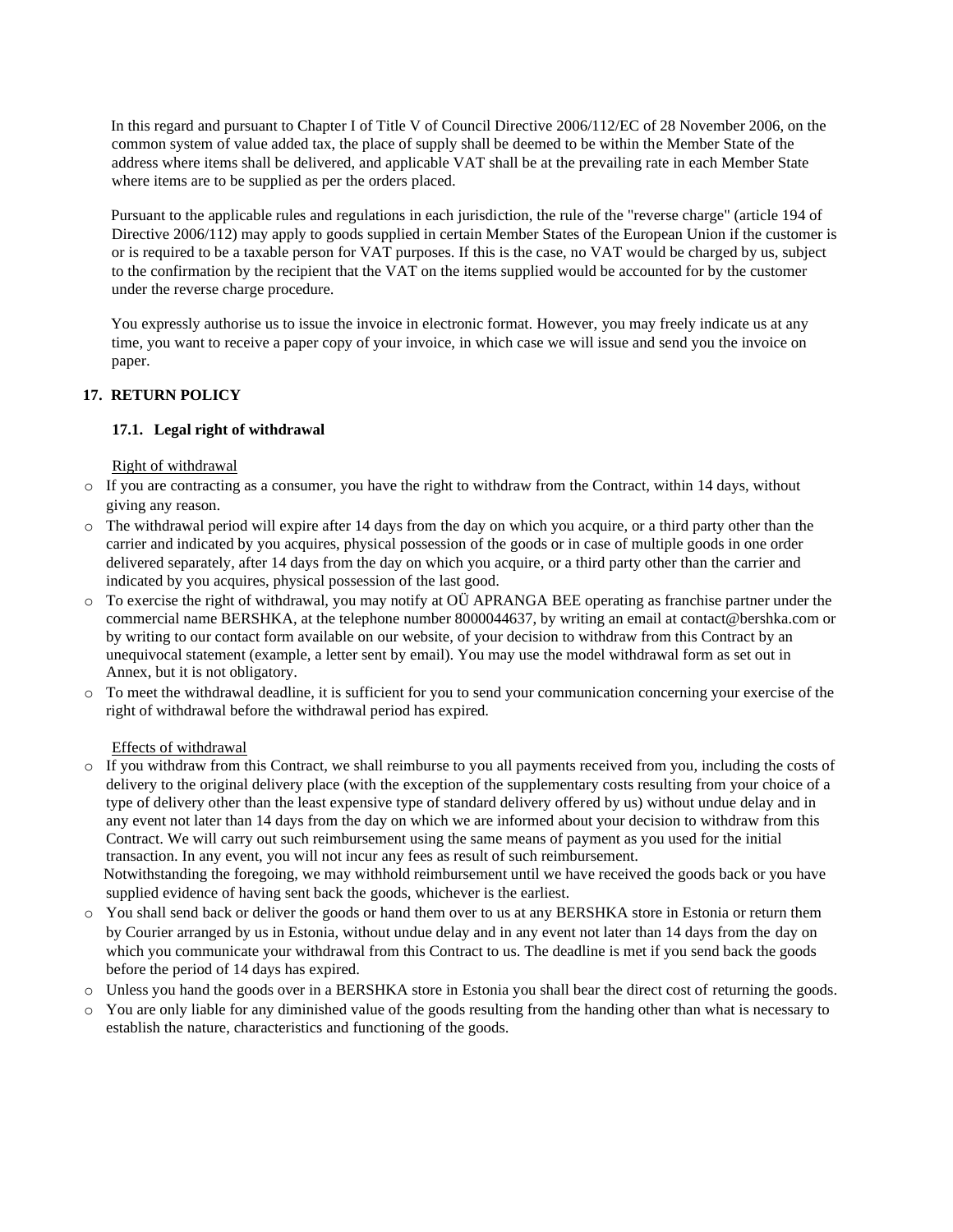In this regard and pursuant to Chapter I of Title V of Council Directive 2006/112/EC of 28 November 2006, on the common system of value added tax, the place of supply shall be deemed to be within the Member State of the address where items shall be delivered, and applicable VAT shall be at the prevailing rate in each Member State where items are to be supplied as per the orders placed.

Pursuant to the applicable rules and regulations in each jurisdiction, the rule of the "reverse charge" (article 194 of Directive 2006/112) may apply to goods supplied in certain Member States of the European Union if the customer is or is required to be a taxable person for VAT purposes. If this is the case, no VAT would be charged by us, subject to the confirmation by the recipient that the VAT on the items supplied would be accounted for by the customer under the reverse charge procedure.

You expressly authorise us to issue the invoice in electronic format. However, you may freely indicate us at any time, you want to receive a paper copy of your invoice, in which case we will issue and send you the invoice on paper.

# **17. RETURN POLICY**

# **17.1. Legal right of withdrawal**

Right of withdrawal

- o If you are contracting as a consumer, you have the right to withdraw from the Contract, within 14 days, without giving any reason.
- o The withdrawal period will expire after 14 days from the day on which you acquire, or a third party other than the carrier and indicated by you acquires, physical possession of the goods or in case of multiple goods in one order delivered separately, after 14 days from the day on which you acquire, or a third party other than the carrier and indicated by you acquires, physical possession of the last good.
- o To exercise the right of withdrawal, you may notify at OÜ APRANGA BEE operating as franchise partner under the commercial name BERSHKA, at the telephone number 8000044637, by writing an email at contact@bershka.com or by writing to our contact form available on our website, of your decision to withdraw from this Contract by an unequivocal statement (example, a letter sent by email). You may use the model withdrawal form as set out in Annex, but it is not obligatory.
- o To meet the withdrawal deadline, it is sufficient for you to send your communication concerning your exercise of the right of withdrawal before the withdrawal period has expired.

### Effects of withdrawal

o If you withdraw from this Contract, we shall reimburse to you all payments received from you, including the costs of delivery to the original delivery place (with the exception of the supplementary costs resulting from your choice of a type of delivery other than the least expensive type of standard delivery offered by us) without undue delay and in any event not later than 14 days from the day on which we are informed about your decision to withdraw from this Contract. We will carry out such reimbursement using the same means of payment as you used for the initial transaction. In any event, you will not incur any fees as result of such reimbursement. Notwithstanding the foregoing, we may withhold reimbursement until we have received the goods back or you have

supplied evidence of having sent back the goods, whichever is the earliest.

- o You shall send back or deliver the goods or hand them over to us at any BERSHKA store in Estonia or return them by Courier arranged by us in Estonia, without undue delay and in any event not later than 14 days from the day on which you communicate your withdrawal from this Contract to us. The deadline is met if you send back the goods before the period of 14 days has expired.
- o Unless you hand the goods over in a BERSHKA store in Estonia you shall bear the direct cost of returning the goods.
- o You are only liable for any diminished value of the goods resulting from the handing other than what is necessary to establish the nature, characteristics and functioning of the goods.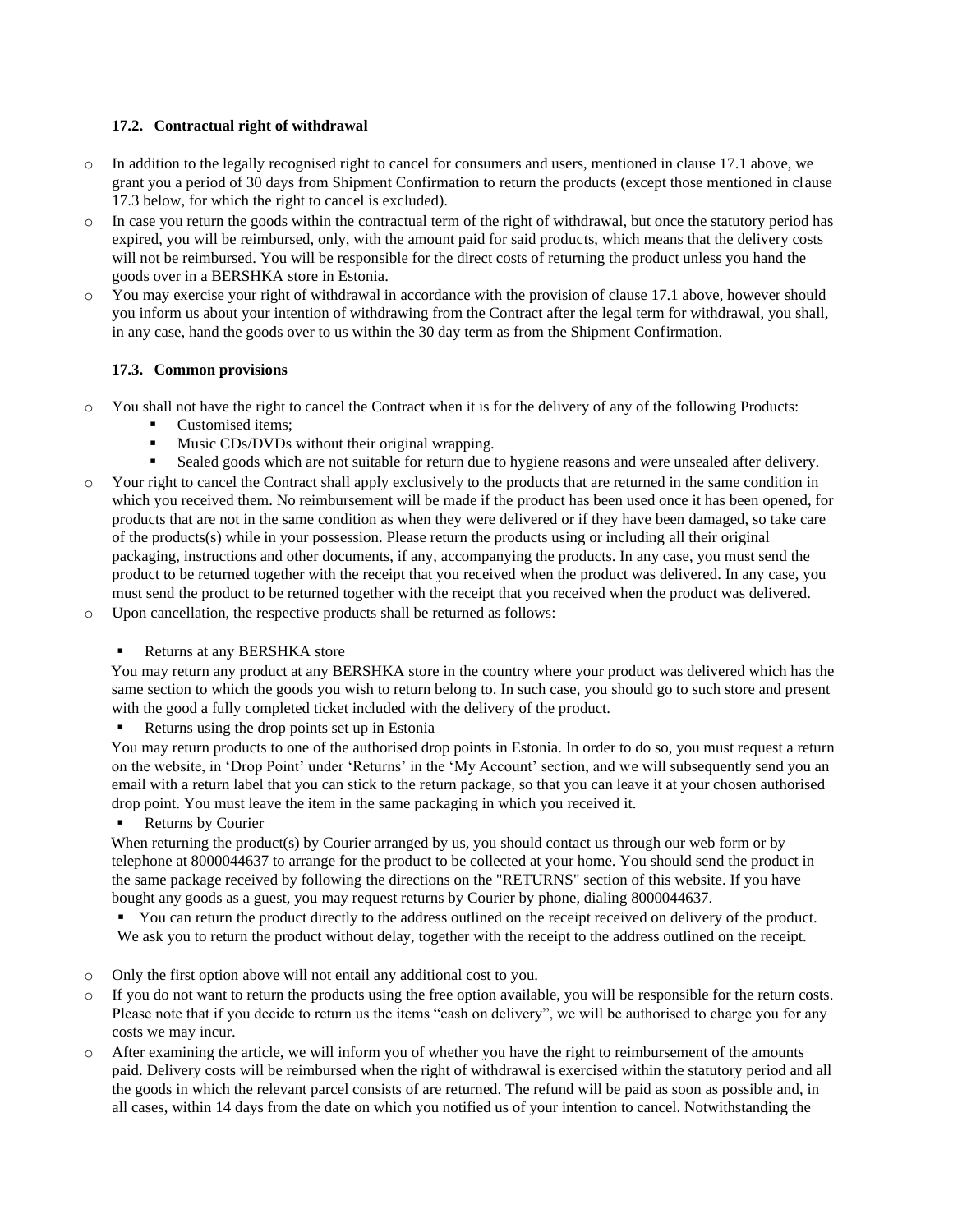# **17.2. Contractual right of withdrawal**

- o In addition to the legally recognised right to cancel for consumers and users, mentioned in clause 17.1 above, we grant you a period of 30 days from Shipment Confirmation to return the products (except those mentioned in clause 17.3 below, for which the right to cancel is excluded).
- $\circ$  In case you return the goods within the contractual term of the right of withdrawal, but once the statutory period has expired, you will be reimbursed, only, with the amount paid for said products, which means that the delivery costs will not be reimbursed. You will be responsible for the direct costs of returning the product unless you hand the goods over in a BERSHKA store in Estonia.
- o You may exercise your right of withdrawal in accordance with the provision of clause 17.1 above, however should you inform us about your intention of withdrawing from the Contract after the legal term for withdrawal, you shall, in any case, hand the goods over to us within the 30 day term as from the Shipment Confirmation.

# **17.3. Common provisions**

- o You shall not have the right to cancel the Contract when it is for the delivery of any of the following Products:
	- Customised items:
	- Music CDs/DVDs without their original wrapping.
	- Sealed goods which are not suitable for return due to hygiene reasons and were unsealed after delivery.
- o Your right to cancel the Contract shall apply exclusively to the products that are returned in the same condition in which you received them. No reimbursement will be made if the product has been used once it has been opened, for products that are not in the same condition as when they were delivered or if they have been damaged, so take care of the products(s) while in your possession. Please return the products using or including all their original packaging, instructions and other documents, if any, accompanying the products. In any case, you must send the product to be returned together with the receipt that you received when the product was delivered. In any case, you must send the product to be returned together with the receipt that you received when the product was delivered.
- o Upon cancellation, the respective products shall be returned as follows:
	- Returns at any BERSHKA store

You may return any product at any BERSHKA store in the country where your product was delivered which has the same section to which the goods you wish to return belong to. In such case, you should go to such store and present with the good a fully completed ticket included with the delivery of the product.

Returns using the drop points set up in Estonia

You may return products to one of the authorised drop points in Estonia. In order to do so, you must request a return on the website, in 'Drop Point' under 'Returns' in the 'My Account' section, and we will subsequently send you an email with a return label that you can stick to the return package, so that you can leave it at your chosen authorised drop point. You must leave the item in the same packaging in which you received it.

Returns by Courier

When returning the product(s) by Courier arranged by us, you should contact us through our web form or by telephone at 8000044637 to arrange for the product to be collected at your home. You should send the product in the same package received by following the directions on the "RETURNS" section of this website. If you have bought any goods as a guest, you may request returns by Courier by phone, dialing 8000044637.

▪ You can return the product directly to the address outlined on the receipt received on delivery of the product. We ask you to return the product without delay, together with the receipt to the address outlined on the receipt.

- o Only the first option above will not entail any additional cost to you.
- $\circ$  If you do not want to return the products using the free option available, you will be responsible for the return costs. Please note that if you decide to return us the items "cash on delivery", we will be authorised to charge you for any costs we may incur.
- o After examining the article, we will inform you of whether you have the right to reimbursement of the amounts paid. Delivery costs will be reimbursed when the right of withdrawal is exercised within the statutory period and all the goods in which the relevant parcel consists of are returned. The refund will be paid as soon as possible and, in all cases, within 14 days from the date on which you notified us of your intention to cancel. Notwithstanding the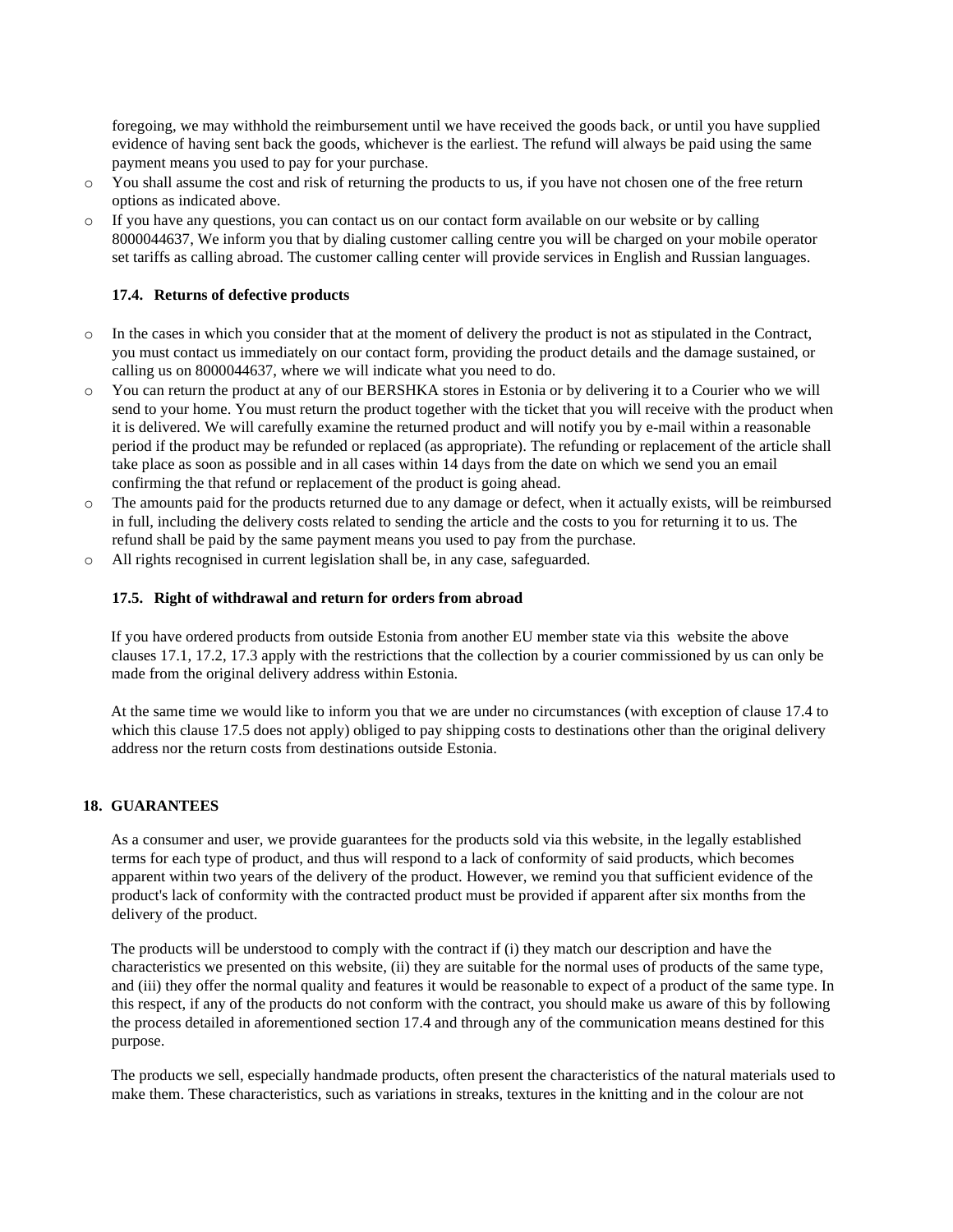foregoing, we may withhold the reimbursement until we have received the goods back, or until you have supplied evidence of having sent back the goods, whichever is the earliest. The refund will always be paid using the same payment means you used to pay for your purchase.

- o You shall assume the cost and risk of returning the products to us, if you have not chosen one of the free return options as indicated above.
- o If you have any questions, you can contact us on our contact form available on our website or by calling 8000044637, We inform you that by dialing customer calling centre you will be charged on your mobile operator set tariffs as calling abroad. The customer calling center will provide services in English and Russian languages.

### **17.4. Returns of defective products**

- o In the cases in which you consider that at the moment of delivery the product is not as stipulated in the Contract, you must contact us immediately on our contact form, providing the product details and the damage sustained, or calling us on 8000044637, where we will indicate what you need to do.
- o You can return the product at any of our BERSHKA stores in Estonia or by delivering it to a Courier who we will send to your home. You must return the product together with the ticket that you will receive with the product when it is delivered. We will carefully examine the returned product and will notify you by e-mail within a reasonable period if the product may be refunded or replaced (as appropriate). The refunding or replacement of the article shall take place as soon as possible and in all cases within 14 days from the date on which we send you an email confirming the that refund or replacement of the product is going ahead.
- o The amounts paid for the products returned due to any damage or defect, when it actually exists, will be reimbursed in full, including the delivery costs related to sending the article and the costs to you for returning it to us. The refund shall be paid by the same payment means you used to pay from the purchase.
- o All rights recognised in current legislation shall be, in any case, safeguarded.

### **17.5. Right of withdrawal and return for orders from abroad**

If you have ordered products from outside Estonia from another EU member state via this website the above clauses 17.1, 17.2, 17.3 apply with the restrictions that the collection by a courier commissioned by us can only be made from the original delivery address within Estonia.

At the same time we would like to inform you that we are under no circumstances (with exception of clause 17.4 to which this clause 17.5 does not apply) obliged to pay shipping costs to destinations other than the original delivery address nor the return costs from destinations outside Estonia.

### **18. GUARANTEES**

As a consumer and user, we provide guarantees for the products sold via this website, in the legally established terms for each type of product, and thus will respond to a lack of conformity of said products, which becomes apparent within two years of the delivery of the product. However, we remind you that sufficient evidence of the product's lack of conformity with the contracted product must be provided if apparent after six months from the delivery of the product.

The products will be understood to comply with the contract if (i) they match our description and have the characteristics we presented on this website, (ii) they are suitable for the normal uses of products of the same type, and (iii) they offer the normal quality and features it would be reasonable to expect of a product of the same type. In this respect, if any of the products do not conform with the contract, you should make us aware of this by following the process detailed in aforementioned section 17.4 and through any of the communication means destined for this purpose.

The products we sell, especially handmade products, often present the characteristics of the natural materials used to make them. These characteristics, such as variations in streaks, textures in the knitting and in the colour are not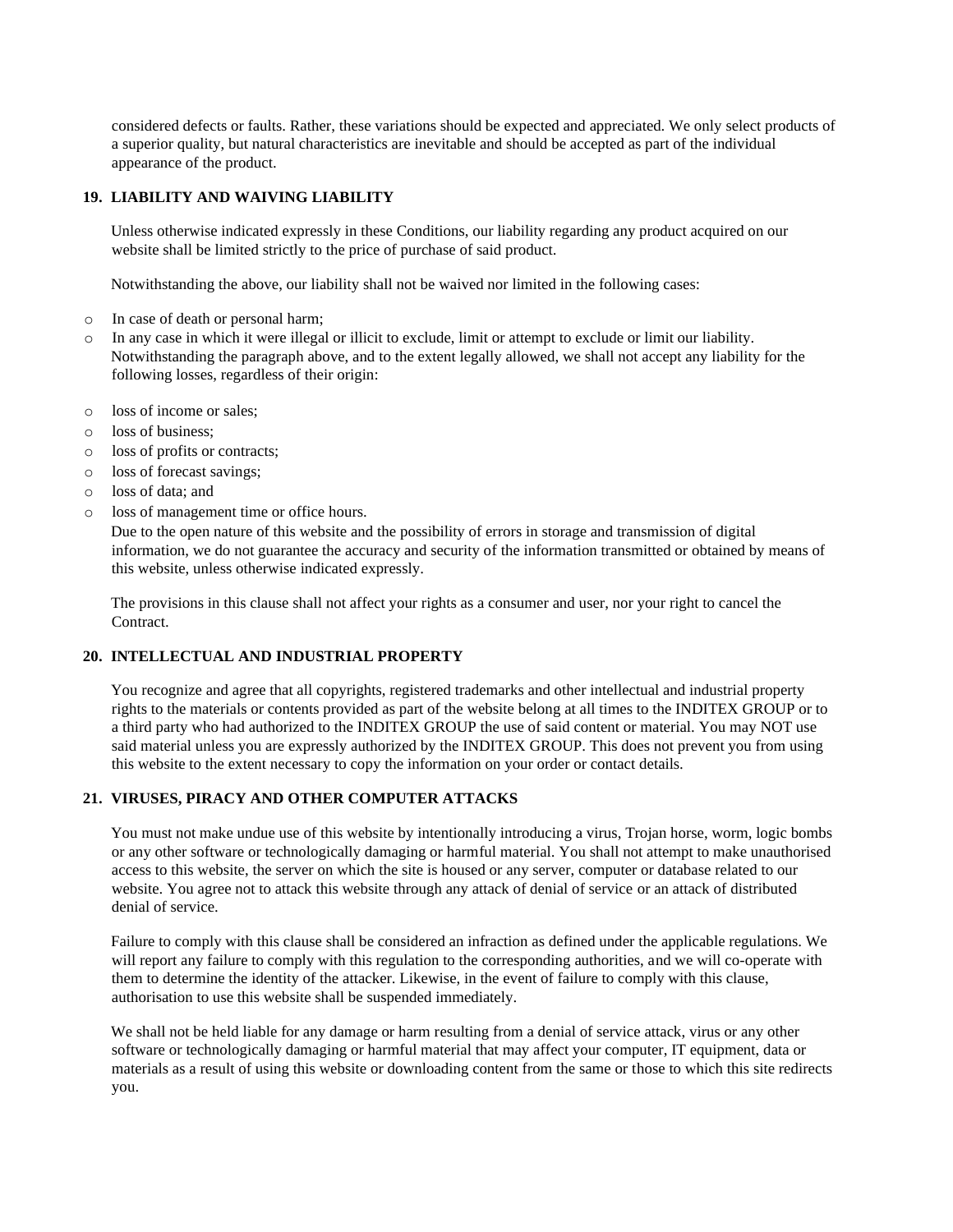considered defects or faults. Rather, these variations should be expected and appreciated. We only select products of a superior quality, but natural characteristics are inevitable and should be accepted as part of the individual appearance of the product.

# **19. LIABILITY AND WAIVING LIABILITY**

Unless otherwise indicated expressly in these Conditions, our liability regarding any product acquired on our website shall be limited strictly to the price of purchase of said product.

Notwithstanding the above, our liability shall not be waived nor limited in the following cases:

- o In case of death or personal harm;
- o In any case in which it were illegal or illicit to exclude, limit or attempt to exclude or limit our liability. Notwithstanding the paragraph above, and to the extent legally allowed, we shall not accept any liability for the following losses, regardless of their origin:
- o loss of income or sales;
- o loss of business;
- o loss of profits or contracts;
- o loss of forecast savings;
- o loss of data; and
- o loss of management time or office hours.

Due to the open nature of this website and the possibility of errors in storage and transmission of digital information, we do not guarantee the accuracy and security of the information transmitted or obtained by means of this website, unless otherwise indicated expressly.

The provisions in this clause shall not affect your rights as a consumer and user, nor your right to cancel the **Contract** 

#### **20. INTELLECTUAL AND INDUSTRIAL PROPERTY**

You recognize and agree that all copyrights, registered trademarks and other intellectual and industrial property rights to the materials or contents provided as part of the website belong at all times to the INDITEX GROUP or to a third party who had authorized to the INDITEX GROUP the use of said content or material. You may NOT use said material unless you are expressly authorized by the INDITEX GROUP. This does not prevent you from using this website to the extent necessary to copy the information on your order or contact details.

## **21. VIRUSES, PIRACY AND OTHER COMPUTER ATTACKS**

You must not make undue use of this website by intentionally introducing a virus, Trojan horse, worm, logic bombs or any other software or technologically damaging or harmful material. You shall not attempt to make unauthorised access to this website, the server on which the site is housed or any server, computer or database related to our website. You agree not to attack this website through any attack of denial of service or an attack of distributed denial of service.

Failure to comply with this clause shall be considered an infraction as defined under the applicable regulations. We will report any failure to comply with this regulation to the corresponding authorities, and we will co-operate with them to determine the identity of the attacker. Likewise, in the event of failure to comply with this clause, authorisation to use this website shall be suspended immediately.

We shall not be held liable for any damage or harm resulting from a denial of service attack, virus or any other software or technologically damaging or harmful material that may affect your computer, IT equipment, data or materials as a result of using this website or downloading content from the same or those to which this site redirects you.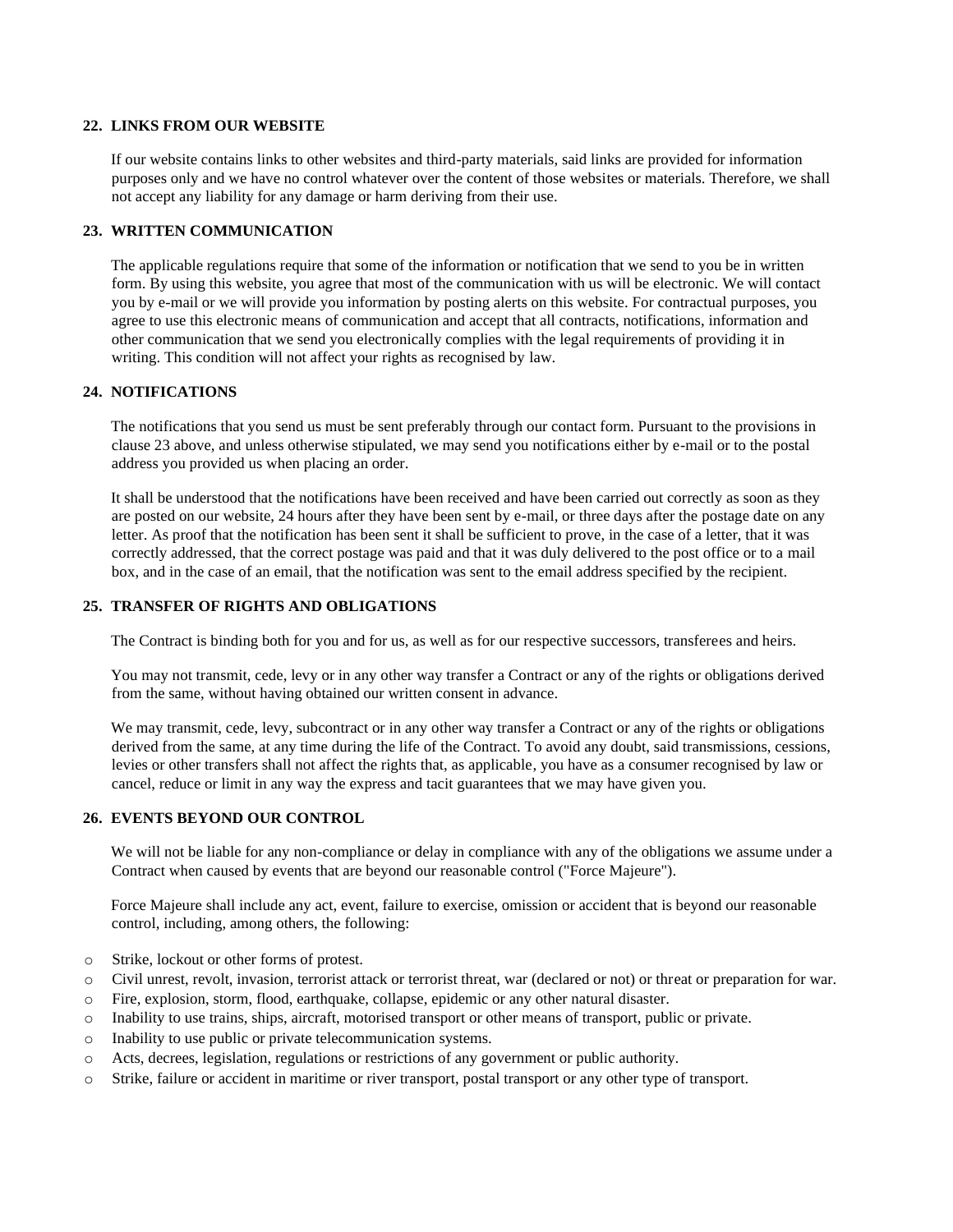### **22. LINKS FROM OUR WEBSITE**

If our website contains links to other websites and third-party materials, said links are provided for information purposes only and we have no control whatever over the content of those websites or materials. Therefore, we shall not accept any liability for any damage or harm deriving from their use.

# **23. WRITTEN COMMUNICATION**

The applicable regulations require that some of the information or notification that we send to you be in written form. By using this website, you agree that most of the communication with us will be electronic. We will contact you by e-mail or we will provide you information by posting alerts on this website. For contractual purposes, you agree to use this electronic means of communication and accept that all contracts, notifications, information and other communication that we send you electronically complies with the legal requirements of providing it in writing. This condition will not affect your rights as recognised by law.

## **24. NOTIFICATIONS**

The notifications that you send us must be sent preferably through our contact form. Pursuant to the provisions in clause 23 above, and unless otherwise stipulated, we may send you notifications either by e-mail or to the postal address you provided us when placing an order.

It shall be understood that the notifications have been received and have been carried out correctly as soon as they are posted on our website, 24 hours after they have been sent by e-mail, or three days after the postage date on any letter. As proof that the notification has been sent it shall be sufficient to prove, in the case of a letter, that it was correctly addressed, that the correct postage was paid and that it was duly delivered to the post office or to a mail box, and in the case of an email, that the notification was sent to the email address specified by the recipient.

## **25. TRANSFER OF RIGHTS AND OBLIGATIONS**

The Contract is binding both for you and for us, as well as for our respective successors, transferees and heirs.

You may not transmit, cede, levy or in any other way transfer a Contract or any of the rights or obligations derived from the same, without having obtained our written consent in advance.

We may transmit, cede, levy, subcontract or in any other way transfer a Contract or any of the rights or obligations derived from the same, at any time during the life of the Contract. To avoid any doubt, said transmissions, cessions, levies or other transfers shall not affect the rights that, as applicable, you have as a consumer recognised by law or cancel, reduce or limit in any way the express and tacit guarantees that we may have given you.

## **26. EVENTS BEYOND OUR CONTROL**

We will not be liable for any non-compliance or delay in compliance with any of the obligations we assume under a Contract when caused by events that are beyond our reasonable control ("Force Majeure").

Force Majeure shall include any act, event, failure to exercise, omission or accident that is beyond our reasonable control, including, among others, the following:

- o Strike, lockout or other forms of protest.
- o Civil unrest, revolt, invasion, terrorist attack or terrorist threat, war (declared or not) or threat or preparation for war.
- o Fire, explosion, storm, flood, earthquake, collapse, epidemic or any other natural disaster.
- o Inability to use trains, ships, aircraft, motorised transport or other means of transport, public or private.
- o Inability to use public or private telecommunication systems.
- o Acts, decrees, legislation, regulations or restrictions of any government or public authority.
- o Strike, failure or accident in maritime or river transport, postal transport or any other type of transport.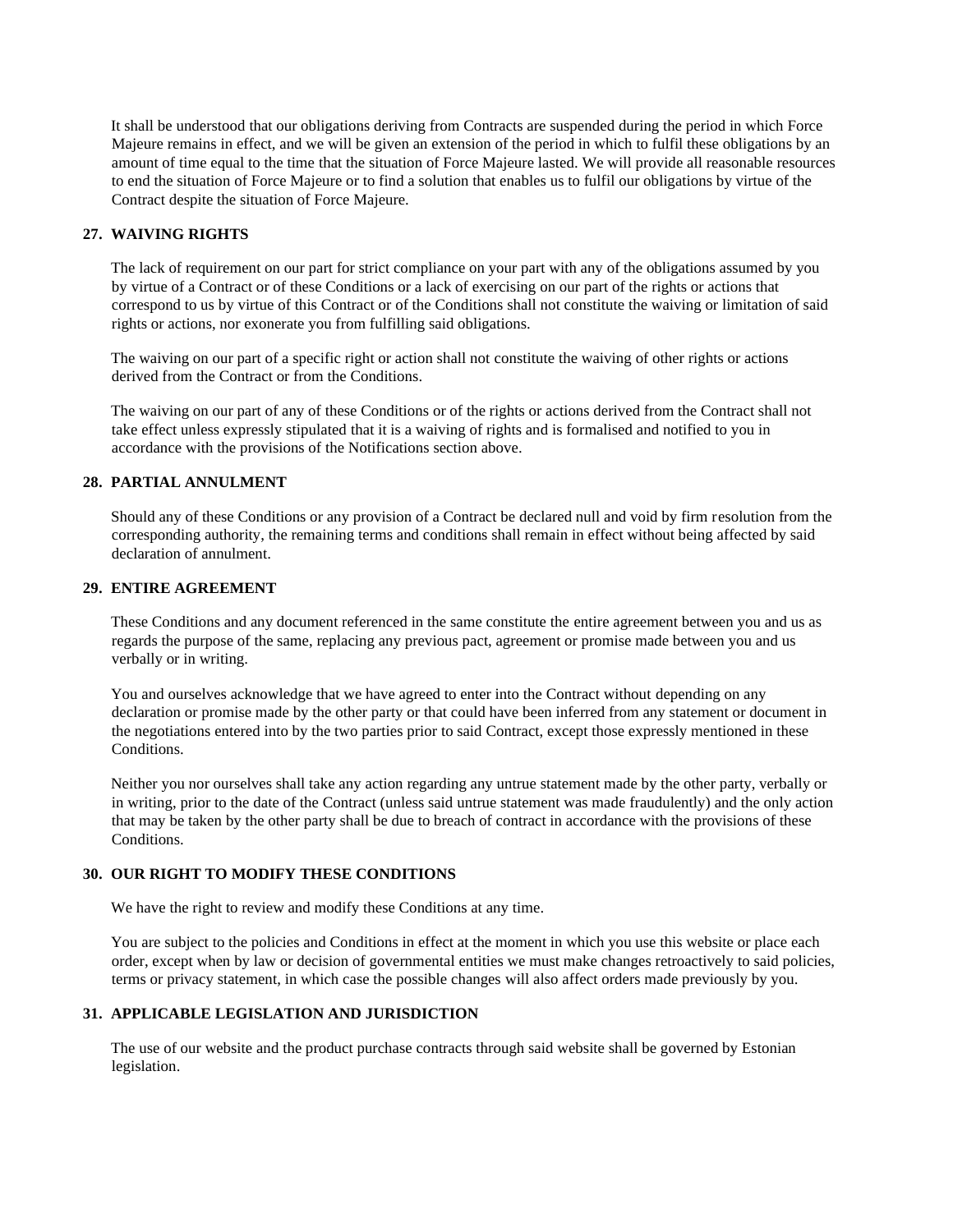It shall be understood that our obligations deriving from Contracts are suspended during the period in which Force Majeure remains in effect, and we will be given an extension of the period in which to fulfil these obligations by an amount of time equal to the time that the situation of Force Majeure lasted. We will provide all reasonable resources to end the situation of Force Majeure or to find a solution that enables us to fulfil our obligations by virtue of the Contract despite the situation of Force Majeure.

### **27. WAIVING RIGHTS**

The lack of requirement on our part for strict compliance on your part with any of the obligations assumed by you by virtue of a Contract or of these Conditions or a lack of exercising on our part of the rights or actions that correspond to us by virtue of this Contract or of the Conditions shall not constitute the waiving or limitation of said rights or actions, nor exonerate you from fulfilling said obligations.

The waiving on our part of a specific right or action shall not constitute the waiving of other rights or actions derived from the Contract or from the Conditions.

The waiving on our part of any of these Conditions or of the rights or actions derived from the Contract shall not take effect unless expressly stipulated that it is a waiving of rights and is formalised and notified to you in accordance with the provisions of the Notifications section above.

## **28. PARTIAL ANNULMENT**

Should any of these Conditions or any provision of a Contract be declared null and void by firm resolution from the corresponding authority, the remaining terms and conditions shall remain in effect without being affected by said declaration of annulment.

### **29. ENTIRE AGREEMENT**

These Conditions and any document referenced in the same constitute the entire agreement between you and us as regards the purpose of the same, replacing any previous pact, agreement or promise made between you and us verbally or in writing.

You and ourselves acknowledge that we have agreed to enter into the Contract without depending on any declaration or promise made by the other party or that could have been inferred from any statement or document in the negotiations entered into by the two parties prior to said Contract, except those expressly mentioned in these Conditions.

Neither you nor ourselves shall take any action regarding any untrue statement made by the other party, verbally or in writing, prior to the date of the Contract (unless said untrue statement was made fraudulently) and the only action that may be taken by the other party shall be due to breach of contract in accordance with the provisions of these Conditions.

# **30. OUR RIGHT TO MODIFY THESE CONDITIONS**

We have the right to review and modify these Conditions at any time.

You are subject to the policies and Conditions in effect at the moment in which you use this website or place each order, except when by law or decision of governmental entities we must make changes retroactively to said policies, terms or privacy statement, in which case the possible changes will also affect orders made previously by you.

# **31. APPLICABLE LEGISLATION AND JURISDICTION**

The use of our website and the product purchase contracts through said website shall be governed by Estonian legislation.